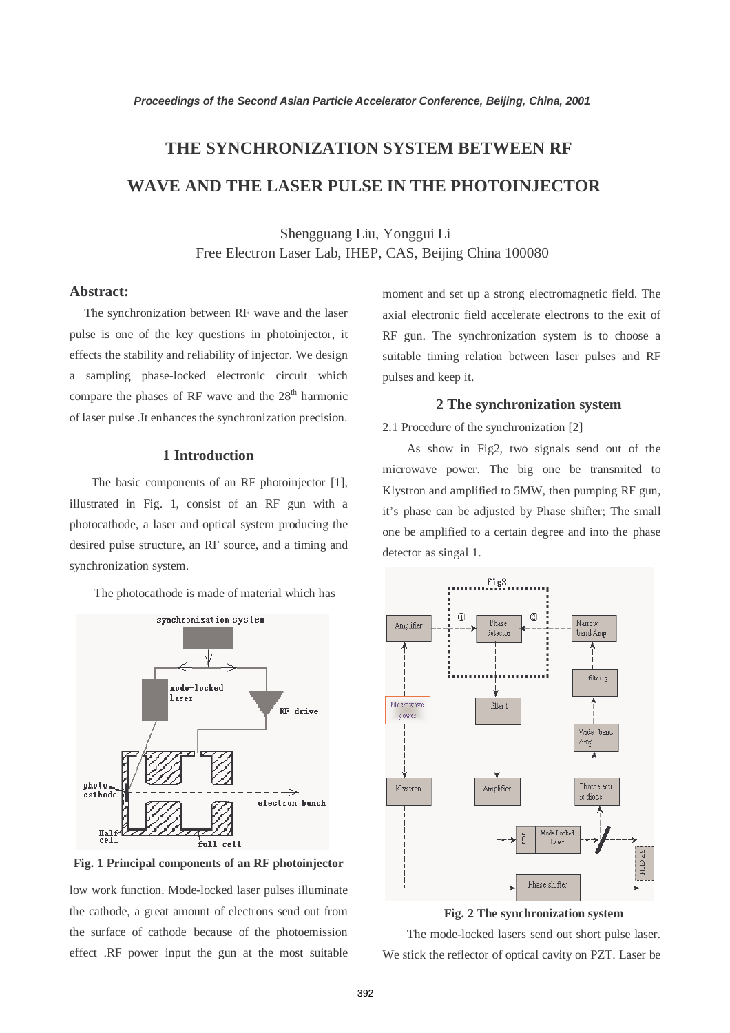# **THE SYNCHRONIZATION SYSTEM BETWEEN RF WAVE AND THE LASER PULSE IN THE PHOTOINJECTOR**

Shengguang Liu, Yonggui Li Free Electron Laser Lab, IHEP, CAS, Beijing China 100080

### **Abstract:**

The synchronization between RF wave and the laser pulse is one of the key questions in photoinjector, it effects the stability and reliability of injector. We design a sampling phase-locked electronic circuit which compare the phases of RF wave and the  $28<sup>th</sup>$  harmonic of laser pulse .It enhances the synchronization precision.

#### **1 Introduction**

The basic components of an RF photoinjector [1], illustrated in Fig. 1, consist of an RF gun with a photocathode, a laser and optical system producing the desired pulse structure, an RF source, and a timing and synchronization system.

The photocathode is made of material which has



**Fig. 1 Principal components of an RF photoinjector**

low work function. Mode-locked laser pulses illuminate the cathode, a great amount of electrons send out from the surface of cathode because of the photoemission effect .RF power input the gun at the most suitable moment and set up a strong electromagnetic field. The axial electronic field accelerate electrons to the exit of RF gun. The synchronization system is to choose a suitable timing relation between laser pulses and RF pulses and keep it.

#### **2 The synchronization system**

2.1 Procedure of the synchronization [2]

As show in Fig2, two signals send out of the microwave power. The big one be transmited to Klystron and amplified to 5MW, then pumping RF gun, it's phase can be adjusted by Phase shifter; The small one be amplified to a certain degree and into the phase detector as singal 1.



**Fig. 2 The synchronization system**

The mode-locked lasers send out short pulse laser. We stick the reflector of optical cavity on PZT. Laser be